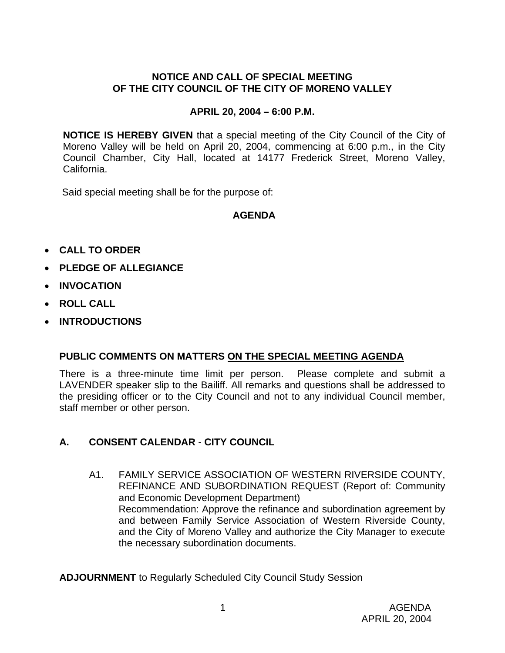# **NOTICE AND CALL OF SPECIAL MEETING OF THE CITY COUNCIL OF THE CITY OF MORENO VALLEY**

## **APRIL 20, 2004 – 6:00 P.M.**

**NOTICE IS HEREBY GIVEN** that a special meeting of the City Council of the City of Moreno Valley will be held on April 20, 2004, commencing at 6:00 p.m., in the City Council Chamber, City Hall, located at 14177 Frederick Street, Moreno Valley, California.

Said special meeting shall be for the purpose of:

#### **AGENDA**

- **CALL TO ORDER**
- **PLEDGE OF ALLEGIANCE**
- **INVOCATION**
- **ROLL CALL**
- **INTRODUCTIONS**

# **PUBLIC COMMENTS ON MATTERS ON THE SPECIAL MEETING AGENDA**

There is a three-minute time limit per person. Please complete and submit a LAVENDER speaker slip to the Bailiff. All remarks and questions shall be addressed to the presiding officer or to the City Council and not to any individual Council member, staff member or other person.

# **A. CONSENT CALENDAR** - **CITY COUNCIL**

A1. FAMILY SERVICE ASSOCIATION OF WESTERN RIVERSIDE COUNTY, REFINANCE AND SUBORDINATION REQUEST (Report of: Community and Economic Development Department) Recommendation: Approve the refinance and subordination agreement by and between Family Service Association of Western Riverside County, and the City of Moreno Valley and authorize the City Manager to execute the necessary subordination documents.

**ADJOURNMENT** to Regularly Scheduled City Council Study Session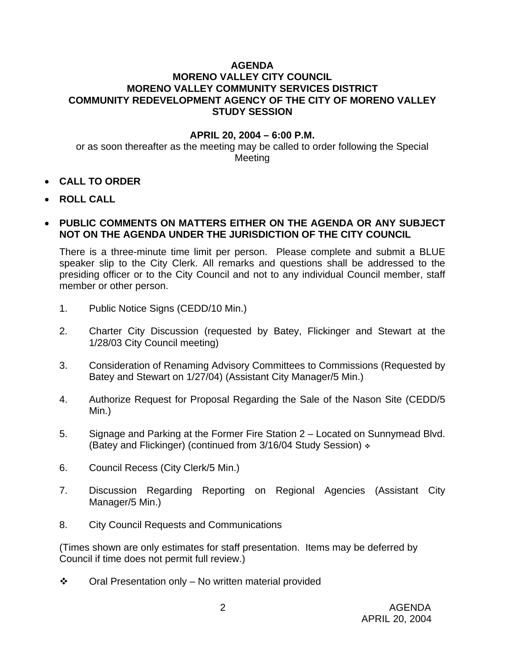#### **AGENDA MORENO VALLEY CITY COUNCIL MORENO VALLEY COMMUNITY SERVICES DISTRICT COMMUNITY REDEVELOPMENT AGENCY OF THE CITY OF MORENO VALLEY STUDY SESSION**

#### **APRIL 20, 2004 – 6:00 P.M.**

or as soon thereafter as the meeting may be called to order following the Special Meeting

- **CALL TO ORDER**
- **ROLL CALL**

### • **PUBLIC COMMENTS ON MATTERS EITHER ON THE AGENDA OR ANY SUBJECT NOT ON THE AGENDA UNDER THE JURISDICTION OF THE CITY COUNCIL**

There is a three-minute time limit per person. Please complete and submit a BLUE speaker slip to the City Clerk. All remarks and questions shall be addressed to the presiding officer or to the City Council and not to any individual Council member, staff member or other person.

- 1. Public Notice Signs (CEDD/10 Min.)
- 2. Charter City Discussion (requested by Batey, Flickinger and Stewart at the 1/28/03 City Council meeting)
- 3. Consideration of Renaming Advisory Committees to Commissions (Requested by Batey and Stewart on 1/27/04) (Assistant City Manager/5 Min.)
- 4. Authorize Request for Proposal Regarding the Sale of the Nason Site (CEDD/5 Min.)
- 5. Signage and Parking at the Former Fire Station 2 Located on Sunnymead Blvd. (Batey and Flickinger) (continued from 3/16/04 Study Session)  $\div$
- 6. Council Recess (City Clerk/5 Min.)
- 7. Discussion Regarding Reporting on Regional Agencies (Assistant City Manager/5 Min.)
- 8. City Council Requests and Communications

(Times shown are only estimates for staff presentation. Items may be deferred by Council if time does not permit full review.)

 $\div$  Oral Presentation only – No written material provided